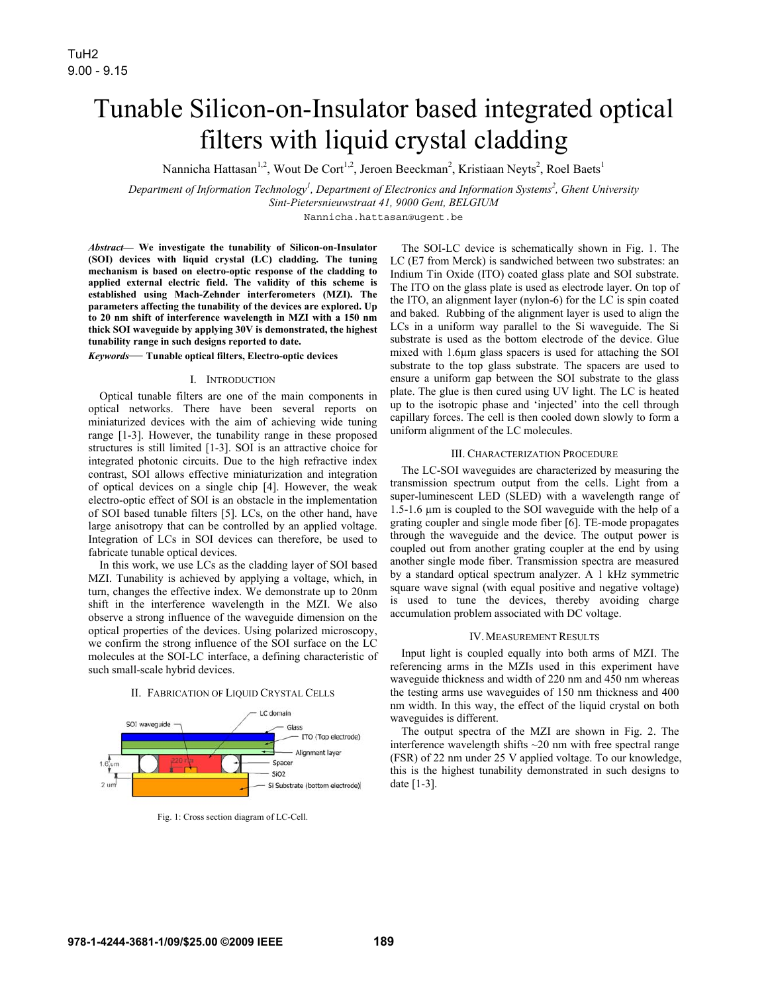# Tunable Silicon-on-Insulator based integrated optical filters with liquid crystal cladding

Nannicha Hattasan<sup>1,2</sup>, Wout De Cort<sup>1,2</sup>, Jeroen Beeckman<sup>2</sup>, Kristiaan Neyts<sup>2</sup>, Roel Baets<sup>1</sup>

*Department of Information Technology1 , Department of Electronics and Information Systems<sup>2</sup> , Ghent University Sint-Pietersnieuwstraat 41, 9000 Gent, BELGIUM* 

Nannicha.hattasan@ugent.be

*Abstract***— We investigate the tunability of Silicon-on-Insulator (SOI) devices with liquid crystal (LC) cladding. The tuning mechanism is based on electro-optic response of the cladding to applied external electric field. The validity of this scheme is established using Mach-Zehnder interferometers (MZI). The parameters affecting the tunability of the devices are explored. Up to 20 nm shift of interference wavelength in MZI with a 150 nm thick SOI waveguide by applying 30V is demonstrated, the highest tunability range in such designs reported to date.** 

# *Keywords*— **Tunable optical filters, Electro-optic devices**

## I. INTRODUCTION

Optical tunable filters are one of the main components in optical networks. There have been several reports on miniaturized devices with the aim of achieving wide tuning range [1-3]. However, the tunability range in these proposed structures is still limited [1-3]. SOI is an attractive choice for integrated photonic circuits. Due to the high refractive index contrast, SOI allows effective miniaturization and integration of optical devices on a single chip [4]. However, the weak electro-optic effect of SOI is an obstacle in the implementation of SOI based tunable filters [5]. LCs, on the other hand, have large anisotropy that can be controlled by an applied voltage. Integration of LCs in SOI devices can therefore, be used to fabricate tunable optical devices.

In this work, we use LCs as the cladding layer of SOI based MZI. Tunability is achieved by applying a voltage, which, in turn, changes the effective index. We demonstrate up to 20nm shift in the interference wavelength in the MZI. We also observe a strong influence of the waveguide dimension on the optical properties of the devices. Using polarized microscopy, we confirm the strong influence of the SOI surface on the LC molecules at the SOI-LC interface, a defining characteristic of such small-scale hybrid devices.





Fig. 1: Cross section diagram of LC-Cell.

The SOI-LC device is schematically shown in Fig. 1. The LC (E7 from Merck) is sandwiched between two substrates: an Indium Tin Oxide (ITO) coated glass plate and SOI substrate. The ITO on the glass plate is used as electrode layer. On top of the ITO, an alignment layer (nylon-6) for the LC is spin coated and baked. Rubbing of the alignment layer is used to align the LCs in a uniform way parallel to the Si waveguide. The Si substrate is used as the bottom electrode of the device. Glue mixed with 1.6µm glass spacers is used for attaching the SOI substrate to the top glass substrate. The spacers are used to ensure a uniform gap between the SOI substrate to the glass plate. The glue is then cured using UV light. The LC is heated up to the isotropic phase and 'injected' into the cell through capillary forces. The cell is then cooled down slowly to form a uniform alignment of the LC molecules.

# III. CHARACTERIZATION PROCEDURE

The LC-SOI waveguides are characterized by measuring the transmission spectrum output from the cells. Light from a super-luminescent LED (SLED) with a wavelength range of 1.5-1.6 µm is coupled to the SOI waveguide with the help of a grating coupler and single mode fiber [6]. TE-mode propagates through the waveguide and the device. The output power is coupled out from another grating coupler at the end by using another single mode fiber. Transmission spectra are measured by a standard optical spectrum analyzer. A 1 kHz symmetric square wave signal (with equal positive and negative voltage) is used to tune the devices, thereby avoiding charge accumulation problem associated with DC voltage.

#### IV.MEASUREMENT RESULTS

Input light is coupled equally into both arms of MZI. The referencing arms in the MZIs used in this experiment have waveguide thickness and width of 220 nm and 450 nm whereas the testing arms use waveguides of 150 nm thickness and 400 nm width. In this way, the effect of the liquid crystal on both waveguides is different.

The output spectra of the MZI are shown in Fig. 2. The interference wavelength shifts ~20 nm with free spectral range (FSR) of 22 nm under 25 V applied voltage. To our knowledge, this is the highest tunability demonstrated in such designs to date [1-3].